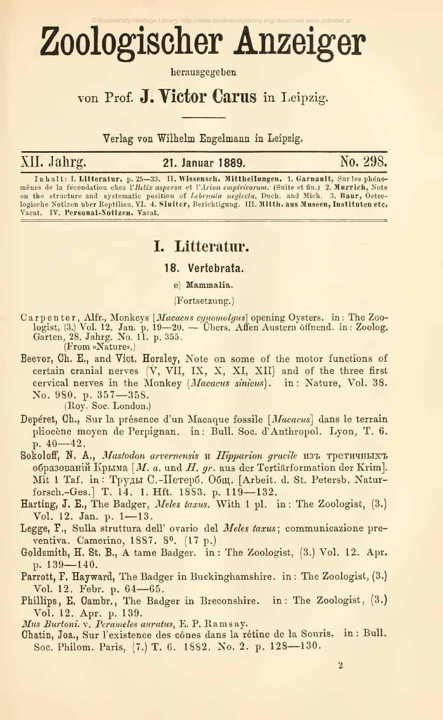# Zoologischer Anzeiger

herausgegeben

# von Prof. J. Victor Carus in Leipzig.

Verlag von Wilhelm Engelmann in Leipzig.

# XII. Jahrg.

21. Januar 1889.

No. 298.

Inhalt: I. Litteratur. p. 25—33. II. Wissensch. Mittheilungen. 1. Garnault, Sur les phénomens de la fécondation chez l'*Helix aspersa et l'Arion empiricorum*. (Suite et fin.) 2. Murrich, Note<br>on the structure and systematic position of *Lebrania neglecta*, Duch. and Mich. 3. Baur, Osteo-<br>logische Notizen über Vacat. IV. Personal-Notizen. Vacat.

## I. Litteratur.

#### 18. Vertebrata.

e) Mammalia.

(Fortsetzung.)

- Carpenter, Alfr., Monkeys [*Macacus cynomolgus*] opening Oysters. in: The Zoologist, (3) Vol. 12. Jan. p. 19-20. Übers. Aften Austern öffnend. in: Zoolog. Garten, 28. Jahrg. No. 11. p. 355. (From »Nature«.)
- Beevor, Ch. E., and Vict. Horsley, Note on some of the motor functions of certain cranial nerves  $(\dot{V}, VII, IX, X, XI, XII)$  and of the three first cervical nerves in the Monkey (Macacus sinicus). in: Nature, Vol. 38. No. 980. p. 357-358.

(Roy. Soc. London.)

- Depéret, Ch., Sur la présence d'un Macaque fossile [Macacus] dans le terrain pliocène moyen de Perpignan. in: Bull. Soc. d'Anthropol. Lyon, T. 6. p.  $40 - 42$ .
- Sokoloff, N. A., Mastodon arvernensis и Hipparion gracile изъ третичныхъ образованій Крыма [M. a. und H. qr. aus der Tertiärformation der Krim]. Mit 1 Taf. in: Труды С.-Петерб. Общ. [Arbeit. d. St. Petersb. Naturforsch.-Ges.] T. 14. 1. Hft. 1883. p. 119-132.
- Harting, J. E., The Badger, Meles taxus. With 1 pl. in: The Zoologist, (3.) Vol. 12. Jan. p. 1-13.
- Legge, F., Sulla struttura dell' ovario del Meles taxus; communicazione preventiva. Camerino, 1887. 8<sup>0</sup>. (17 p.)
- Goldsmith, H. St. B., A tame Badger. in: The Zoologist, (3.) Vol. 12. Apr. p.  $139 - 140$ .
- Parrott, F. Hayward, The Badger in Buckinghamshire. in: The Zoologist, (3.) Vol. 12. Febr. p. 64-65.
- Phillips, E. Cambr., The Badger in Breconshire. in: The Zoologist, (3.) Vol. 12. Apr. p. 139.

Mus Burtoni. v. Perameles auratus, E. P. Ramsay.

Chatin, Joa., Sur l'existence des cônes dans la rétine de la Souris. in : Bull. Soc. Philom. Paris, (7.) T. 6. 1882. No. 2. p. 128-130.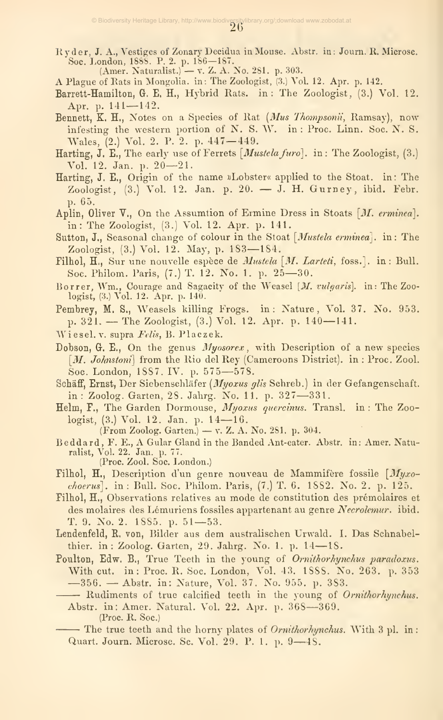Ryder, J.A., Vestiges of Zonary Decidua in Mouse. Abstr. in; Journ. R. Microsc. Soc. London, 1888. P. 2. p. 186—187. (Amer. Naturalist.) — v. Z. A. No. 281. p. 303. <sup>A</sup> Plague of Rats in Mongolia, in: The Zoologist, (3.j Vol. 12. Apr. p. 142.

- 
- Barrett-Hamilton, G. E. H., Hybrid Rats, in: The Zoologist, (3.) Vol. 12. Apr. p. 141-142.
- Bennett, K. H., Notes on a Species of Rat (Mus Thompsonii, Ramsay), now infesting the western portion of N. S. W. in : Proc. Linn. Soc. N. S. Wales, (2.) Vol. 2. P. 2. p. 447—449.
- Harting, J. E., The early use of Ferrets  $[Mustela\,furo]$ . in: The Zoologist,  $(3.)$ Vol. 12. Jan. p. 20—21.
- Harting, J. E., Origin of the name »Lobster« applied to the Stoat. in: The Zoologist, (3.) Vol. 12. Jan. p. 20. — J. H. Gurney, ibid. Febr. p. 65.
- Aplin, Oliver  $\nabla$ ., On the Assumtion of Ermine Dress in Stoats [M. erminea]. in: The Zoologist, (3.) Vol. 12. Apr. p. 141.
- Sutton, J., Seasonal change of colour in the Stoat [*Mustela erminea*]. in: The Zoologist, (3.) Vol. 12. May, p. 183—184.
- Filhol,  $H_{\alpha}$ , Sur une nouvelle espèce de  $Mustela$  [M. Larteti, foss.]. in: Bull. Soc. Philom. Paris, (7.) T. 12. No. 1. p. 25—30.
- Borrer, Wm., Courage and Sagacity of the Weasel [M. vulgaris]. in: The Zoologist, (3.) Vol. 12. Apr. p. 140.
- Pembrey, M. S., Weasels killing Frogs, in: Nature, Vol. 37. No. 953. p. 321. — The Zoologist, (3.) Vol. 12. Apr. p. 140—141.
- Wiesel. V. supra Felis, B. Placzek.
- Dobson, G. E., On the genus *Myosorex*, with Description of a new species  $[M. Johnston]$  from the Rio del Rey (Cameroons District), in : Proc. Zool. Soc. London, 1SS7. IV. p. <sup>575</sup>—578.
- Schäff, Ernst, Der Siebenschläfer (Myoxus glis Schreb.) in der Gefangenschaft. in: Zoolog. Garten, 28. Jahrg. No. 11. p. <sup>327</sup>—331.
- Helm, F., The Garden Dormouse, Myoxus quercinus. Transl. in: The Zoologist, (3.) Vol. 12. Jan. p. 14—16.
	- (From Zoolog. Garten.) v. Z. A. No. 281. p. 304.
- Beddard , F. E., A Gular Gland in the Banded Ant-eater. Abstr. in: Amer. Natu-ralist, Vol. 22. Jan. p. 77. (Proc. Zool. Soc. London.)
- Filhol, H., Description d'un genre nouveau de Mammifère fossile [Myxo $choerus$ ]. in: Bull. Soc. Philom. Paris,  $(7.)$  T. 6. 1882. No. 2. p. 125.
- Filhol, H., Observations relatives au mode de constitution des prémolaires et des molaires des Lémuriens fossiles appartenant au genre Necrolemur. ibid. T. 9. No. 2. 1885. p. 51—53.
- Lendenfeld, R. von, Bilder aus dem australischen Urwald. I. Das Schnabelthier. in: Zoolog. Garten, 29. Jahrg. No. 1. p. <sup>14</sup>—18.
- Poulton, Edw. B., True Teeth in the young of Ornithorhynchus paradoxus. With cut. in: Proc. R. Soc. London, Vol. 43. 1888. No. 263. p. 353 —356. — Abstr. in: Nature, Vol. 37. No. 955. p. 383.
	- Rudiments of true calcified teeth in the young of Ornithorhynchus. Abstr. in: Amer. Natural. Vol. 22. Apr. p. <sup>368</sup>—369.

(Proc. R. Soc.)

- The true teeth and the horny plates of *Ornithorhynchus*. With 3 pl. in: Quart. Journ. Microsc, Sc. Vol. 29. P. 1. p. <sup>9</sup>—48.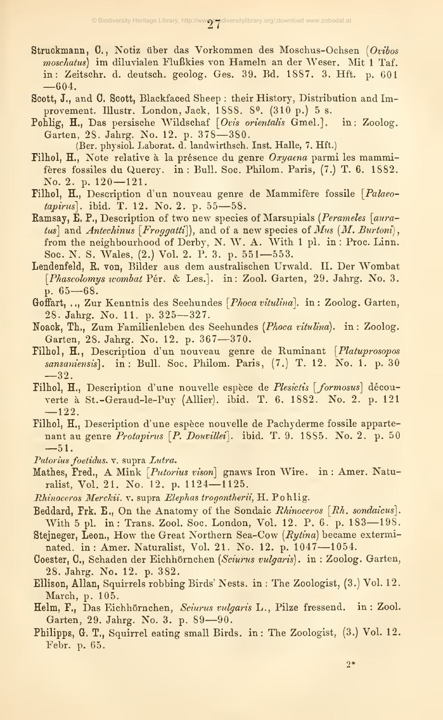- Struckmann, 0., Notiz über das Vorkommen des Moschus-Ochsen [Ovibos moschatus) im diluvialen Flußkies von Hameln an der Weser. Mit <sup>1</sup> Taf. in: Zeitschr. d. deutsch, geolog. Ges. 39. Bd. 1887. 3. Hft. p. 601 —604.
- Scott, J., and 0. Scott, Blackfaced Sheep : their History, Distribution and Improvement. Illustr. London, Jack, 1888. 8<sup>0</sup>. (310 p.) 5 s.
- Pohlig, H., Das persische Wildschaf [Ovis orientalis Gmel.]. in: Zoolog. Garten, 28. Jahrg. No. 12. p. 378—380.

(Ber. physiol. Laborat. d. landwirthsch. Inst. Halle, 7. Hft.)

- Filhol, H., Note relative à la présence du genre Oxyaena parmi les mammifères fossiles du Quercy. in : Bull. Soc. Philom. Paris, (7.) T. 6. 1882. No. 2. p. 120—121.
- Filhol, H., Description d'un nouveau genre de Mammifère fossile [Palaeotapirus]. ibid. T. 12. No. 2. p. <sup>55</sup>—58.
- Ramsay, E. P., Description of two new species of Marsupials (Perameles [auratus] and Antechinus  $[Froggatti]$ , and of a new species of Mus  $(M.$  Burtoni), from the neighbourhood of Derby, N. W. A. With <sup>1</sup> pi. in : Proc. Linn. Soc. N. S. Wales, (2.) Vol. 2. P. 3. p. 551—553.
- Lendenfeld, E. von, Bilder aus dem australischen Urwald. II. Der Wombat [Phascolomys wombat Pér. & Les.]. in: Zool. Garten, 29. Jahrg. No. 3. p. 65—68.
- Goffart, ..., Zur Kenntnis des Seehundes [*Phoca vitulina*]. in: Zoolog. Garten, 28. Jahrg. No. 11. p. 325—327.
- Noack, Th., Zum Familienleben des Seehundes {Phoca vitulina). in : Zoolog. Garten, 28. Jahrg. No. 12. p. 367—370.
- Filhol, H., Description d'un nouveau genre de Ruminant [Platuprosopos sansaniensis]. in: Bull. Soc. Philom. Paris, (7.) T. 12. No. 1. p. 30 —32.
- Filhol, H., Description d'une nouvelle espèce de Plesictis [formosus] découverte à St.-Geraud-le-Puy (Allier), ibid. T. 6. 1882. No. 2. p. 121 —122.
- Pilhol, H., Description d'une espèce nouvelle de Pachyderme fossile apparte nant au genre Protapirus [P. Douvillei]. ibid. T. 9. 1885. No. 2. p. 50 —51.
- Putorius foetidus. v. supra Lutra.
- Mathes, Fred., A Mink [*Putorius vison*] gnaws Iron Wire. in : Amer. Naturalist, Vol. 21. No. 12. p. 1124—1125.
- Rhinoceros Merckii. v. supra Elephas trogontherii, H. Pohlig.
- Beddard, Frk. E., On the Anatomy of the Sondaic Rhinoceros [Rh. sondaicus]. With <sup>5</sup> pi. in: Trans. Zool. Soc. London, Vol. 12. P. 6. p. 183—198.
- Stejneger, Leon., How the Great Northern Sea-Cow (Rytina) became exterminated, in: Amer. Naturalist, Vol. 21. No. 12. p. <sup>1047</sup>—1054.
- Coester, 0., Schaden der Eichhörnchen [Sciurus vulgaris), in : Zoolog. Garten, 28. Jahrg. No. 12. p. 382.
- Ellison, Allan, Squirrels robbing Birds' Nests, in : The Zoologist, (3.) Vol. 12. March, p. 105.
- Helm, F., Das Eichhörnchen, Sciurus vulgaris L., Pilze fressend. in: Zool. Garten, 29. Jahrg. No. 3. p. <sup>89</sup>—90.
- Philipps, G. T., Squirrel eating small Birds, in: The Zoologist, (3.) Vol. 12. Febr. p. 65.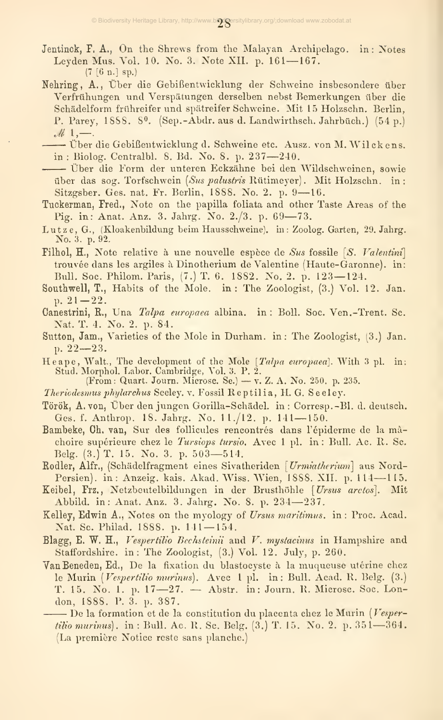Jentinck, F. A., On the Shrews from the Malayan Archipelago. in: Notes Leyden Mus. Vol. 10. No. 3. Note XII. p. 161-167.  $(7 [6 n.] sp.)$ 

Nehring, A., Über die Gebißentwicklung der Schweine insbesondere über Verfrühungen und Verspätungen derselben nebst Bemerkungen über die Schädelform frühreifer und spätreifer Schweine. Mit 15 Holzschn. Berlin, P. Parey, 1888, 8<sup>0</sup>. (Sep.-Abdr. aus d. Landwirthsch. Jahrbüch.) (54 p.)  $ell 1, -1$ .

- Über die Gebißentwicklung d. Schweine etc. Ausz. von M. Wilckens. in: Biolog. Centralbl. 8. Bd. No. 8. p. 237-240.

- Über die Form der unteren Eckzähne bei den Wildschweinen, sowie über das sog. Torfschwein (Sus palustris Rütimeyer). Mit Holzschn. in: Sitzgsber. Ges. nat. Fr. Berlin, 1888. No. 2. p. 9-16.
- Tuckerman, Fred., Note on the papilla foliata and other Taste Areas of the Pig. in: Anat. Anz. 3. Jahrg. No. 2./3. p. 69-73.
- Lutze, G., (Kloakenbildung beim Hausschweine). in: Zoolog. Garten, 29. Jahrg. No. 3. p. 92.
- Filhol, H., Note relative à une nouvelle espèce de Sus fossile  $[S.$  Valentini trouvée dans les argiles à Dinotherium de Valentine (Haute-Garonne). in: Bull. Soc. Philom. Paris, (7.) T. 6. 1882. No. 2. p. 123-124.
- Southwell, T., Habits of the Mole. in: The Zoologist, (3.) Vol. 12. Jan. p.  $21 - 22$ .
- Canestrini, R., Una Talpa europaea albina. in: Boll. Soc. Ven.-Trent. Sc. Nat. T. 4. No. 2. p. 84.
- Sutton, Jam., Varieties of the Mole in Durham. in: The Zoologist, (3.) Jan. p.  $22-23$ .
- Heape, Walt., The development of the Mole [Talpa europaea]. With 3 pl. in: Stud. Morphol. Labor. Cambridge, Vol. 3. P. 2.
- (From: Quart. Journ. Microse. Se.) v. Z. A. No. 250. p. 235.
- Theriodesmus phylarchus Seeley. v. Fossil Reptilia, H. G. Seeley.
- Török, A. von, Über den jungen Gorilla-Schädel. in: Corresp.-Bl. d. deutsch. Ges. f. Anthrop. 18. Jahrg. No. 11./12. p. 141-150.
- Bambeke, Ch. van, Sur des follicules rencontrés dans l'épiderme de la mâchoire supérieure chez le Tursiops tursio. Avec 1 pl. in : Bull. Ac. R. Sc. Belg. (3.) T. 15. No. 3. p. 503-514.
- Rodler, Alfr., (Schädelfragment eines Sivatheriden [Urmiatherium] aus Nord-Persien). in: Anzeig. kais. Akad. Wiss. Wien, 1888. XII. p. 114-115.
- Keibel, Frz., Netzbeutelbildungen in der Brusthöhle [Ursus arctos]. Mit Abbild. in: Anat. Anz. 3. Jahrg. No. 8. p. 234-237.
- Kelley, Edwin A., Notes on the myology of Ursus maritimus. in: Proc. Acad. Nat. Sc. Philad. 1888. p. 141-154.
- Blagg, E. W. H., Vespertilio Bechsteinii and V. mystacinus in Hampshire and Staffordshire. in: The Zoologist, (3.) Vol. 12. July, p. 260.
- Van Beneden, Ed., De la fixation du blastocyste à la muqueuse utérine chez le Murin (Vespertilio murinus). Avec 1 pl. in: Bull. Acad. R. Belg. (3.) T. 15. No. 1. p. 17-27. - Abstr. in: Journ. R. Microse. Soc. London, 1888. P. 3. p. 387.

 $-$  De la formation et de la constitution du placenta chez le Murin (Vespertilio murinus), in: Bull. Ac. R. Sc. Belg. (3.) T. 15. No. 2, p. 351—364. (La première Notice reste sans planche.)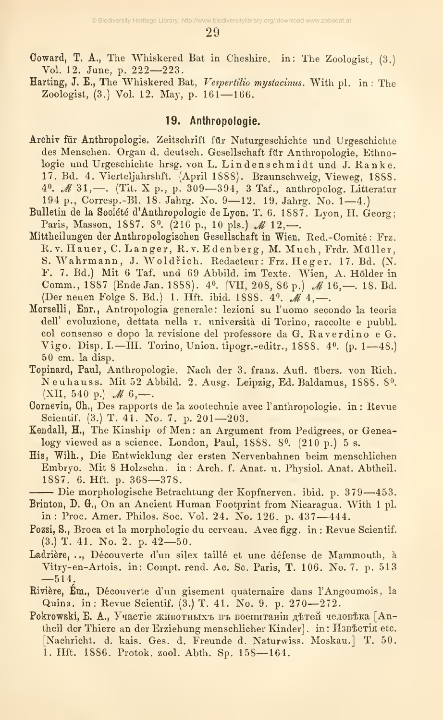29

- Coward, T. A., The Whiskered Bat in Cheshire, in: The Zoologist, (3.) Vol. 12. June, p. 222—223.
- Harting, J. E., The Whiskered Bat, Vespertilio mystacinus. With pl. in: The Zoologist, (3.) Vol. 12, May, p. 161—166.

#### 19. Anthropologie.

- Archiv für Anthropologie. Zeitschrift für Naturgeschichte und Urgeschichte des Menschen. Organ d. deutsch. Gesellschaft für Anthropologie, Ethnologie und Urgeschichte hrsg. von L. Lindenschmidt und J. Ranke. 17, Bd. 4. Vierteljahrshft. (April 1S88). Braunschweig, Vieweg, 1888. 40.  $M$  31,—. (Tit. X p., p. 309—394, 3 Taf., anthropolog. Litteratur <sup>194</sup> p., Corresp.-Bl. 18. Jahrg. No. <sup>9</sup>—12. 19. Jahrg. No. 1—4.)
- Bulletin de la Société d'Anthropologie de Lyon. T. 6. 1887. Lyon, H. Georg; Paris, Masson, 1887. 8<sup>0</sup>. (216 p., 10 pls.) M 12,—.
- Mittheilungen der Anthropologischen Gesellschaft in Wien. Red.-Comité : Frz. R.v. Hauer, C. Langer, R.v. Edenberg, M. Much, Frdr. Müller, S. Wahrmann, J. Woldrich. Redacteur: Frz. Heger. 17. Bd. (N. F. 7. Bd.) Mit 6 Taf, und 69 Abbild, im Texte. Wien, A. Holder in Comm., 1887 (Ende Jan. 1888). 4<sup>0</sup>. (VII, 208, 86 p.) *M* 16, - 18. Bd. (Der neuen Folge 8. Bd.) 1. Hft. ibid. 1888.  $4^0$ . M  $4, -$ .
- Morselli, Enr., Antropologia generale: lezioni su l'uomo secondo la teoria dell' evoluzione, dettata nella r. università di Torino, raccolte e pubbl. col consenso <sup>e</sup> dopo la revisione del professore da G. Raverdino <sup>e</sup> G. Vigo. Disp. I.-III. Torino, Union. tipogr.-editr., 1888. 40. (p. 1-48.) 50 cm. la disp.
- Topinard, Paul, Anthropologie. Nach der 3. franz. Aufl. übers, von Rieh. Neuhauss. Mit 52 Abbild. 2. Ausg. Leipzig, Ed. Baldamus, 1888. 8». (XII, 540 p.)  $M$  6,—.
- Oornevin, Gh., Des rapports de la zootechnie avec l'anthropologie, in: Revue Scientif. (3.) T. 41. No. 7. p. 201—203.
- Kendall, H., The Kinship of Men: an Argument from Pedigrees, or Genealogy viewed as a science. London, Paul, 1888. 8º. (210 p.) 5 s.
- His, Wilh. , Die Entwicklung der ersten Nervenbahnen beim menschlichen Embryo. Mit 8 Holzschn. in : Arch. f. Anat. u. Physiol. Anat. Abtheil. 1887. 6. Hft. p. 368—378.
- Die morphologische Betrachtung der Kopfnerven, ibid. p. <sup>379</sup>—453.
- Brinton, D. G., On an Ancient Human Footprint from Nicaragua. With <sup>1</sup> pi. in : Proc. Amer. Philos, Soc, Vol. 24, No. 126. p. 437—444,
- Pozzi, S., Broca et la morphologie du cerveau. Avec figg. in: Revue Scientif. (3.) T. 41. No. 2. p. 42—50.
- Ladrière, .., Découverte d'un silex taillé et une défense de Mammouth, à Vitry-en-Artois. in: Compt. rend. Ac. Sc. Paris, T. 106. No. 7. p. 513  $-514.$
- Eivière, Em., Découverte d'un gisement quaternaire dans l'Angoumois, la Quina. in: Revue Scientif. (3.) T. 41. No. 9. p. 270—272.
- Pokrowski, E. A., Участіе животныхъ въ воспитаніи детей человека [Antheil der Thiere an der Erziehung menschlicher Kinder]. in: H3BECTin etc. [Nachricht, d. kais. Ges. d. Freunde d. Naturwiss, Moskau.] T, 50. 1. Hft. 1886. Protok. zool. Abth. Sp. 158—164.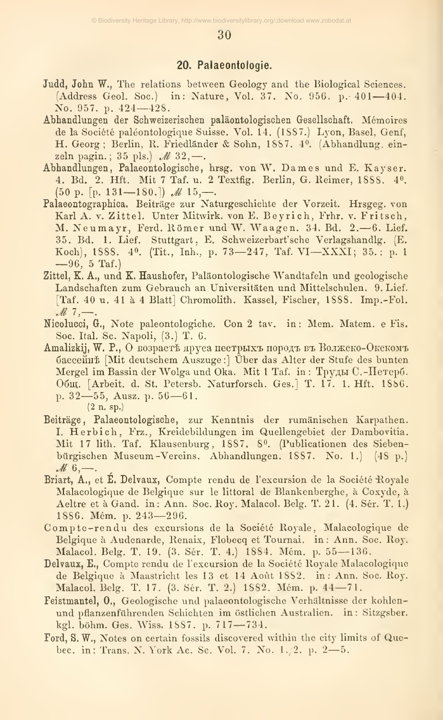30

#### 20. Palaeontologie.

- Judd, John W., The relations between Geology and the Biological Sciences. (Address Geol. Soc.) in: Nature, Vol. 37. No. 956. p. 401-404. No. 957. p. 424-428.
- Abhandlungen der Schweizerischen paläontologischen Gesellschaft. Mémoires de la Société paléontologique Suisse. Vol. 14. (1887.) Lyon, Basel, Genf, H. Georg; Berlin, R. Friedländer & Sohn, 1887. 4<sup>0</sup>. (Abhandlung. einzeln pagin.; 35 pls.)  $M$  32,-.
- Abhandlungen, Palaeontologische, hrsg. von W. Dames und E. Kayser. 4. Bd. 2. Hft. Mit 7 Taf. u. 2 Textfig. Berlin, G. Reimer, 1888. 40.  $(50 \text{ p. } [p. 131 - 180.])$  *M*  $15, -$ .
- Palaeontographica. Beiträge zur Naturgeschichte der Vorzeit. Hrsgeg. von Karl A. v. Zittel. Unter Mitwirk. von E. Beyrich, Frhr. v. Fritsch, M. Neumayr, Ferd. Römer und W. Waagen. 34. Bd. 2.-6. Lief. 35. Bd. 1. Lief. Stuttgart, E. Schweizerbart'sche Verlagshandlg. (E. Koch), 1888. 40. (Tit., Inh., p. 73-247, Taf. VI-XXXI; 35.: p. 1  $-96, 5$  Taf.)
- Zittel, K. A., und K. Haushofer, Paläontologische Wandtafeln und geologische Landschaften zum Gebrauch an Universitäten und Mittelschulen. 9. Lief. [Taf. 40 u. 41 à 4 Blatt] Chromolith. Kassel, Fischer, 1888. Imp.-Fol.  $M_{7}$ .
- Nicolucci, G., Note paleontologiche. Con 2 tav. in: Mem. Matem. e Fis. Soc. Ital. Sc. Napoli, (3.) T. 6.
- Amalizkij, W. P., O возрастъ яруса пестрыхъ породъ въ Волжско-Окскомъ бассейнь [Mit deutschem Auszuge:] Über das Alter der Stufe des bunten Mergel im Bassin der Wolga und Oka. Mit 1 Taf. in: Труды С.-Петерб. Общ. [Arbeit. d. St. Petersb. Naturforsch. Ges.] Т. 17. 1. Hft. 1886. p. 32—55, Ausz. p. 56—61.  $(2 n. sp.)$
- Beiträge, Palaeontologische, zur Kenntnis der rumänischen Karpathen. I. Herbich, Frz., Kreidebildungen im Quellengebiet der Dambovitia. Mit 17 lith. Taf. Klausenburg, 1887. 8<sup>0</sup>. (Publicationen des Siebenbürgischen Museum-Vereins. Abhandlungen. 1887. No. 1.) (48 p.)  $M\,6,$ .
- Briart, A., et É. Delvaux, Compte rendu de l'excursion de la Société Royale Malacologique de Belgique sur le littoral de Blankenberghe, à Coxyde, à Aeltre et à Gand. in: Ann. Soc. Roy. Malacol. Belg. T. 21. (4. Sér. T. 1.) 1886. Mém. p. 243-296.
- Compte-rendu des excursions de la Société Royale, Malacologique de Belgique à Audenarde, Renaix, Flobecq et Tournai. in: Ann. Soc. Roy. Malacol. Belg. T. 19. (3. Sér. T. 4.) 1884. Mém. p. 55-136.
- Delvaux, E., Compte rendu de l'excursion de la Société Royale Malacologique de Belgique à Maastricht les 13 et 14 Août 1882. in: Ann. Soc. Roy. Malacol. Belg. T. 17. (3. Sér. T. 2.) 1882. Mém. p. 44—71.
- Feistmantel, O., Geologische und palaeontologische Verhältnisse der kohlenund pflanzenführenden Schichten im östlichen Australien. in: Sitzgsber. kgl. böhm. Ges. Wiss. 1887. p. 717-734.
- Ford, S. W., Notes on certain fossils discovered within the city limits of Quebec. in: Trans. N. York Ac. Sc. Vol. 7. No. 1./2. p. 2-5.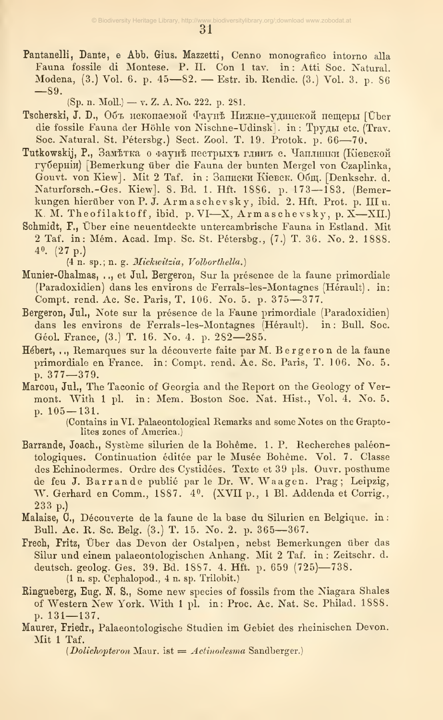Pantanelli, Dante, e Abb. Gius. Mazzetti, Cenno monografico intorno alla Fauna fossile di Montese. P. II. Con 1 tav. in: Atti Soc. Natural. Modena, (3.) Vol. 6. p. 45-82. - Estr. ib. Rendic. (3.) Vol. 3. p. 86  $-89.$ 

(Sp. n. Moll.) - v. Z. A. No. 222. p. 281.

- Tscherski, J. D., Объ ископаемой Фаунъ Нижне-удинской пещеры [Über die fossile Fauna der Höhle von Nischne-Udinsk]. in: Труды etc. (Trav. Soc. Natural. St. Pétersbg.) Sect. Zool. T. 19. Protok. p. 66-70.
- Tutkowskij, P., Заметка о фауне пестрыхъ глинъ с. Чаплинки (Кіевской губерній) [Bemerkung über die Fauna der bunten Mergel von Czaplinka, Gouvt. von Kiew]. Mit 2 Taf. in: Записки Кіевск. Общ. [Denkschr. d. Naturforsch.-Ges. Kiew]. 8. Bd. 1. Hft. 1886. p. 173-183. (Bemerkungen hierüber von P. J. Armaschevsky, ibid. 2. Hft. Prot. p. III u. K. M. Theofilaktoff, ibid. p. VI-X, Armaschevsky, p. X-XII.)
- Schmidt, F., Über eine neuentdeckte untercambrische Fauna in Estland. Mit 2 Taf. in: Mém. Acad. Imp. Sc. St. Pétersbg., (7.) T. 36. No. 2. 1888.  $4^{\circ}$ .  $(27 \text{ p.})$

(4 n. sp.; n. g. Mickwitzia, Volborthella.)

- Munier-Chalmas, .., et Jul. Bergeron, Sur la présence de la faune primordiale (Paradoxidien) dans les environs de Ferrals-les-Montagnes (Hérault). in: Compt. rend. Ac. Sc. Paris, T. 106. No. 5. p. 375-377.
- Bergeron, Jul., Note sur la présence de la Faune primordiale (Paradoxidien) dans les environs de Ferrals-les-Montagnes (Hérault). in: Bull. Soc. Géol. France, (3.) T. 16. No. 4. p. 282-285.
- Hébert, .., Remarques sur la découverte faite par M. Bergeron de la faune primordiale en France. in: Compt. rend. Ac. Sc. Paris, T. 106. No. 5. p. 377-379.
- Marcou, Jul., The Taconic of Georgia and the Report on the Geology of Vermont. With 1 pl. in: Mem. Boston Soc. Nat. Hist., Vol. 4. No. 5. p.  $105 - 131$ .

(Contains in VI. Palaeontological Remarks and some Notes on the Graptolites zones of America.)

- Barrande, Joach., Système silurien de la Bohême. 1. P. Recherches paléontologiques. Continuation éditée par le Musée Bohême. Vol. 7. Classe des Echinodermes. Ordre des Cystidées. Texte et 39 pls. Ouvr. posthume de feu J. Barrande publié par le Dr. W. Waagen. Prag; Leipzig, W. Gerhard en Comm., 1887. 4<sup>0</sup>. (XVII p., 1 Bl. Addenda et Corrig.,  $233 p.$
- Malaise, C., Découverte de la faune de la base du Silurien en Belgique. in : Bull. Ac. R. Sc. Belg. (3.) T. 15. No. 2. p. 365-367.
- Frech, Fritz, Über das Devon der Ostalpen, nebst Bemerkungen über das Silur und einem palaeontologischen Anhang. Mit 2 Taf. in: Zeitschr. d. deutsch. geolog. Ges. 39. Bd. 1887. 4. Hft. p. 659 (725)-738. (1 n. sp. Cephalopod., 4 n. sp. Trilobit.)
- Ringueberg, Eug. N. S., Some new species of fossils from the Niagara Shales of Western New York. With 1 pl. in: Proc. Ac. Nat. Sc. Philad. 1888. p.  $131 - 137$ .
- Maurer, Friedr., Palaeontologische Studien im Gebiet des rheinischen Devon. Mit 1 Taf.

*(Dolichopteron Maur. ist = Actinodesma Sandberger.)*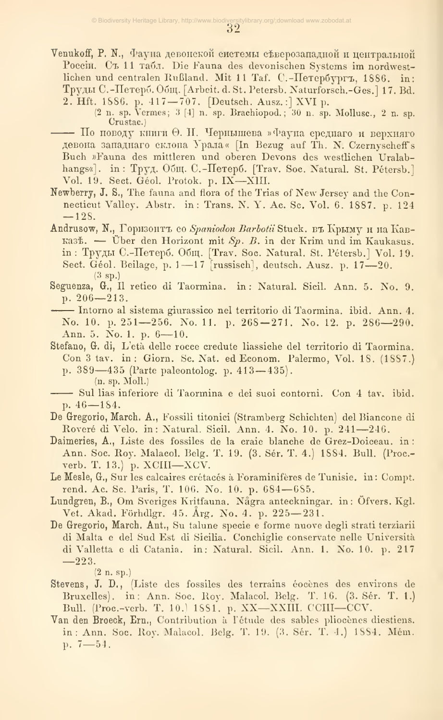Venukoff, P. N., Фауна девонской системы северозападной и центральной Россіи. Съ 11 табл. Die Fauna des devonischen Systems im nordwestlichen und centralen Rußland. Mit 11 Taf. C.-Herepoyprъ, 1886. in: Труды С.-Петерб. Общ. [Arbeit. d. St. Petersb. Naturforsch.-Ges.] 17. Bd. 2. Hft. 1886. p. 417-707. [Deutsch. Ausz.:] XVI p.

—— По поводу книги Ө. Н. Чернышева »Фауна среднаго и верхняго девона западнаго склона Урала« [In Bezug auf Th. N. Czernyscheff's Buch »Fauna des mittleren und oberen Devons des westlichen Uralabhangs«]. in: Труд. Общ. С.-Петерб. [Trav. Soc. Natural. St. Pétersb.] Vol. 19. Sect. Géol. Protok. p. IX-XIII.

- Newberry, J. S., The fauna and flora of the Trias of New Jersey and the Connecticut Valley. Abstr. in: Trans. N. Y. Ac. Sc. Vol. 6. 1887. p. 124  $-128.$
- Andrusow, N., Горизонтъ со Spaniodon Barbotii Stuck. въ Крыму и на Кав-Ka35. - Über den Horizont mit  $Sp.$  B. in der Krim und im Kaukasus. in: Труды С.-Петерб. Общ. [Trav. Soc. Natural. St. Pétersb.] Vol. 19. Sect. Géol. Beilage, p. 1-17 [russisch], deutsch. Ausz. p. 17-20.  $(3 \text{ sp.})$
- Seguenza, G., Il retico di Taormina. in: Natural. Sicil. Ann. 5. No. 9. p.  $206 - 213$ .

-- Intorno al sistema giurassico nel territorio di Taormina, ibid. Ann. 4. No. 10. p. 251-256. No. 11. p. 268-271. No. 12. p. 286-290. Ann. 5. No. 1. p. 6-10.

Stefano, G. di, L'età delle rocce credute liassiche del territorio di Taormina. Con 3 tav. in: Giorn. Se. Nat. ed Econom. Palermo, Vol. 18, (1887.) p. 389—435 (Parte paleontolog. p. 413—435).

 $(n. sp. Moll.)$ 

- De Gregorio, March. A., Fossili titonici (Stramberg Schichten) del Biancone di Roveré di Velo. in: Natural. Sicil. Ann. 4. No. 10. p. 241-246.
- Daimeries, A., Liste des fossiles de la craie blanche de Grez-Doiceau. in: Ann. Soc. Roy. Malaeol. Belg. T. 19. (3. Sér. T. 4.) 1884. Bull. (Proc.verb. T. 13.) p. XCIII-XCV.
- Le Mesle, G., Sur les calcaires crétacés à Foraminifères de Tunisie. in: Compt. rend. Ac. Sc. Paris, T. 106. No. 10. p. 684-685.
- Lundgren, B., Om Sveriges Kritfauna. Några anteckningar. in: Öfvers. Kgl. Vet. Akad. Förhdlgr. 45. Årg. No. 4. p. 225-231.
- De Gregorio, March. Ant., Su talune specie e forme nuove degli strati terziarii di Malta e del Sud Est di Sicilia. Conchiglie conservate nelle Università di Valletta e di Catania. in: Natural. Sicil. Ann. 1. No. 10. p. 217  $-223.$

 $(2 n. sp.)$ 

- Stevens, J. D., (Liste des fossiles des terrains éocènes des environs de Bruxelles). in: Ann. Soc. Roy. Malacol. Belg. T. 16. (3. Sér. T. 1.) Bull. (Proc.-verb. T. 10.) 1881. p. XX-XXIII. CCIII-CCV.
- Van den Broeck, Ern., Contribution à l'étude des sables pliocènes diestiens. in: Ann. Soc. Roy. Malacol. Belg. T. 19. (3. Sér. T. 4.) 1884. Mém.  $p. 7 - 54.$

<sup>(2</sup> n. sp. Vermes; 3 [4] n. sp. Brachiopod.; 30 n. sp. Mollusc., 2 n. sp. Crustac.)

<sup>-</sup> Sul lias inferiore di Taormina e dei suoi contorni. Con 4 tav. ibid. p.  $46 - 184$ .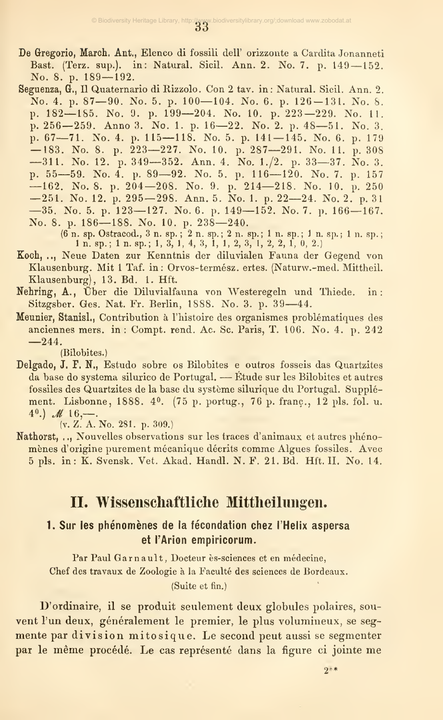- De Gregorio, March. Ant,, Elenco di fossili dell' orizzonte a Cardita Jonanneti Bast. (Terz. sup.), in: Natural. Sicil. Ann. 2. No. 7. p. <sup>149</sup> —152. No. 8. p. 189—192.
- Seguenza, G., Il Quaternario di Rizzolo. Con 2 tav. in: Naturai. Sicil. Ann. 2. No. 4. p. 87—90. No. 5. p. 100—104. No. 6. p. 126—131. No. 8. p. 182—185. No. 9. p. 199—204. No. 10. p. 223—229. No. 11. p. 256—259. Anno 3. No. 1. p. 16—22. No. 2. p. 48—51. No. 3.<br>p. 67—71. No. 4. p. 115—118. No. 5. p. 141—145. No. 6. p. 179  $-183.$  No. 8. p.  $223-227.$  No. 10. p.  $287-291.$  No. 11. p. 308 —311. No. 12. p. 349—352. Ann. 4. No. 1./2. p. 33—37. No. 3. p. 55—59. No. 4. p. 89—92. No. 5. p. 116—120. No. 7. p. 157 —162. No. 8. p. 204—208. No. 9. p. 214—218. No. 10. p. 250  $-251.$  No. 12. p. 295 $-298.$  Ann. 5. No. 1. p. 22 $-24.$  No. 2. p. 31  $-35.$  No. 5. p. 123 $-127.$  No. 6. p. 149 $-152.$  No. 7. p. 166 $-167.$ No. 8. p. 186—188. No. 10. p. 238—240.

(6 n. sp. Ostracod., 3 n. sp. ; 2 n. sp. ; 2 n. sp. ; <sup>1</sup> n. sp. ; <sup>J</sup> n. sp. ; <sup>1</sup> n. sp. ; <sup>1</sup> n. sp.; 1 n. sp.; 1, 3, 1, 4, 3, 1, 1, 2, 3, 1, 2, 2, 1, 0, 2.)

- Koch, .,, Neue Daten zur Kenntnis der diluvialen Fauna der Gegend von Klausenburg. Mit <sup>1</sup> Taf. in: Orvos-termész. ertes. (Naturw.-med. Mittheil. Klausenburg), 13. Bd. 1. Hft.
- Nehring, A., Über die Diluvialfauna von Westeregeln und Thiede. in: Sitzgsber. Ges. Nat. Fr. Berlin, 1888. No. 3. p. <sup>39</sup>—44.
- Meunier, Stanisi., Contribution à l'histoire des organismes problématiques des anciennes mers, in: Compt. rend. Ac. Sc. Paris, T. 106. No. 4. p. 242  $-244.$

(Bilobites.)

Delgado, J. F. N., Estudo sobre os Bilobites e outros fosseis das Quartzites da base do systema silurico de Portugal. — Etude sur les Bilobites et autres fossiles des Quartzites de la base du système silurique du Portugal. Supplément. Lisbonne, 1888. 40. (75 p. portug., 76 p. franç., 12 pls. fol. u. 4<sup>0</sup>.) *M* 16, —

(V. Z. A. No. 281. p. 309.)

Nathorst, . ., Nouvelles observations sur les traces d'animaux et autres phénomènes d'origine purement mécanique décrits comme Algues fossiles. Avec 5 pis. in: K. Svensk. Vet. Akad. Handl. N. F. 21. Bd. Hft. IL No. 14.

### II. Wissenschaftliche Mittheilungen.

#### 1. Sur les phénomènes de la fécondation chez l'Hélix aspersa et i'Arion empiricorum.

Par Paul Garnault, Docteur ès-sciences et en médecine, Chef des travaux de Zoologie à la Faculté des sciences de Bordeaux. (Suite et fin.)

D'ordinaire, il se produit seulement deux globules polaires, sou vent l'un deux, généralement le premier, le plus volumineux, se segmente par division mitosique. Le second peut aussi se segmenter par le même procédé. Le cas représenté dans la figure ci jointe me

 $2^{+*}$